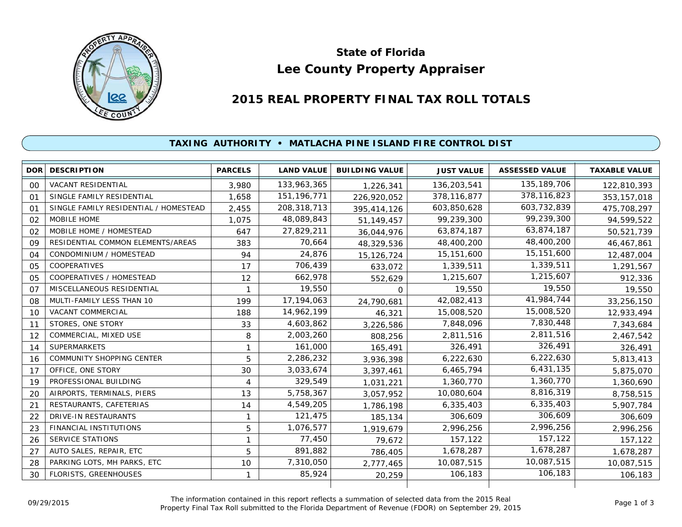

# **Lee County Property Appraiser State of Florida**

# **2015 REAL PROPERTY FINAL TAX ROLL TOTALS**

## **TAXING AUTHORITY • MATLACHA PINE ISLAND FIRE CONTROL DIST**

|    | <b>DOR DESCRIPTION</b>                | <b>PARCELS</b> | <b>LAND VALUE</b> | <b>BUILDING VALUE</b> | <b>JUST VALUE</b> | <b>ASSESSED VALUE</b> | <b>TAXABLE VALUE</b> |
|----|---------------------------------------|----------------|-------------------|-----------------------|-------------------|-----------------------|----------------------|
| 00 | <b>VACANT RESIDENTIAL</b>             | 3,980          | 133,963,365       | 1,226,341             | 136,203,541       | 135, 189, 706         | 122,810,393          |
| 01 | SINGLE FAMILY RESIDENTIAL             | 1.658          | 151, 196, 771     | 226,920,052           | 378,116,877       | 378,116,823           | 353, 157, 018        |
| 01 | SINGLE FAMILY RESIDENTIAL / HOMESTEAD | 2,455          | 208,318,713       | 395,414,126           | 603,850,628       | 603,732,839           | 475,708,297          |
| 02 | MOBILE HOME                           | 1,075          | 48,089,843        | 51,149,457            | 99,239,300        | 99,239,300            | 94,599,522           |
| 02 | MOBILE HOME / HOMESTEAD               | 647            | 27,829,211        | 36,044,976            | 63,874,187        | 63,874,187            | 50,521,739           |
| 09 | RESIDENTIAL COMMON ELEMENTS/AREAS     | 383            | 70,664            | 48,329,536            | 48,400,200        | 48,400,200            | 46,467,861           |
| 04 | CONDOMINIUM / HOMESTEAD               | 94             | 24,876            | 15,126,724            | 15,151,600        | 15,151,600            | 12,487,004           |
| 05 | COOPERATIVES                          | 17             | 706,439           | 633,072               | 1,339,511         | 1,339,511             | 1,291,567            |
| 05 | COOPERATIVES / HOMESTEAD              | 12             | 662,978           | 552,629               | 1,215,607         | 1,215,607             | 912,336              |
| 07 | MISCELLANEOUS RESIDENTIAL             |                | 19,550            | $\Omega$              | 19,550            | 19,550                | 19,550               |
| 08 | MULTI-FAMILY LESS THAN 10             | 199            | 17, 194, 063      | 24,790,681            | 42,082,413        | 41,984,744            | 33,256,150           |
| 10 | <b>VACANT COMMERCIAL</b>              | 188            | 14,962,199        | 46,321                | 15,008,520        | 15,008,520            | 12,933,494           |
| 11 | STORES, ONE STORY                     | 33             | 4,603,862         | 3,226,586             | 7,848,096         | 7,830,448             | 7,343,684            |
| 12 | COMMERCIAL, MIXED USE                 | 8              | 2,003,260         | 808,256               | 2,811,516         | 2,811,516             | 2,467,542            |
| 14 | <b>SUPERMARKETS</b>                   | 1              | 161,000           | 165,491               | 326,491           | 326,491               | 326,491              |
| 16 | COMMUNITY SHOPPING CENTER             | 5              | 2,286,232         | 3,936,398             | 6,222,630         | 6,222,630             | 5,813,413            |
| 17 | OFFICE, ONE STORY                     | 30             | 3,033,674         | 3,397,461             | 6,465,794         | 6,431,135             | 5,875,070            |
| 19 | PROFESSIONAL BUILDING                 | 4              | 329,549           | 1,031,221             | 1,360,770         | 1,360,770             | 1,360,690            |
| 20 | AIRPORTS, TERMINALS, PIERS            | 13             | 5,758,367         | 3,057,952             | 10,080,604        | 8,816,319             | 8,758,515            |
| 21 | RESTAURANTS, CAFETERIAS               | 14             | 4,549,205         | 1,786,198             | 6,335,403         | 6,335,403             | 5,907,784            |
| 22 | <b>DRIVE-IN RESTAURANTS</b>           | 1              | 121,475           | 185,134               | 306,609           | 306,609               | 306,609              |
| 23 | <b>FINANCIAL INSTITUTIONS</b>         | 5              | 1,076,577         | 1,919,679             | 2,996,256         | 2,996,256             | 2,996,256            |
| 26 | SERVICE STATIONS                      | 1              | 77,450            | 79,672                | 157,122           | 157,122               | 157,122              |
| 27 | AUTO SALES, REPAIR, ETC               | 5              | 891,882           | 786,405               | 1,678,287         | 1,678,287             | 1,678,287            |
| 28 | PARKING LOTS, MH PARKS, ETC           | 10             | 7,310,050         | 2,777,465             | 10,087,515        | 10,087,515            | 10,087,515           |
| 30 | <b>FLORISTS, GREENHOUSES</b>          | 1              | 85,924            | 20,259                | 106,183           | 106,183               | 106,183              |
|    |                                       |                |                   |                       |                   |                       |                      |

The information contained in this report reflects a summation of selected data from the 2015 Real Ine information contained in this report reflects a summation of selected data from the 2015 Real<br>Property Final Tax Roll submitted to the Florida Department of Revenue (FDOR) on September 29, 2015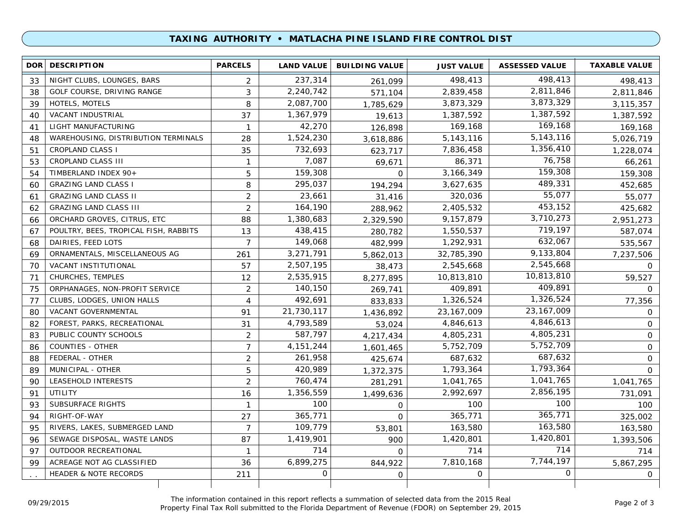### **TAXING AUTHORITY • MATLACHA PINE ISLAND FIRE CONTROL DIST**

| <b>DOR</b> | <b>DESCRIPTION</b>                    | <b>PARCELS</b> | <b>LAND VALUE</b> | <b>BUILDING VALUE</b> | <b>JUST VALUE</b> | <b>ASSESSED VALUE</b> | <b>TAXABLE VALUE</b> |
|------------|---------------------------------------|----------------|-------------------|-----------------------|-------------------|-----------------------|----------------------|
| 33         | NIGHT CLUBS, LOUNGES, BARS            | 2              | 237,314           | 261.099               | 498,413           | 498,413               | 498,413              |
| 38         | GOLF COURSE, DRIVING RANGE            | 3              | 2,240,742         | 571,104               | 2,839,458         | 2,811,846             | 2,811,846            |
| 39         | HOTELS, MOTELS                        | 8              | 2,087,700         | 1,785,629             | 3,873,329         | 3,873,329             | 3,115,357            |
| 40         | <b>VACANT INDUSTRIAL</b>              | 37             | 1,367,979         | 19,613                | 1,387,592         | 1,387,592             | 1,387,592            |
| 41         | LIGHT MANUFACTURING                   | $\mathbf{1}$   | 42,270            | 126,898               | 169,168           | 169,168               | 169,168              |
| 48         | WAREHOUSING, DISTRIBUTION TERMINALS   | 28             | 1,524,230         | 3,618,886             | 5, 143, 116       | 5, 143, 116           | 5,026,719            |
| 51         | <b>CROPLAND CLASS I</b>               | 35             | 732,693           | 623,717               | 7,836,458         | 1,356,410             | 1,228,074            |
| 53         | <b>CROPLAND CLASS III</b>             | $\mathbf{1}$   | 7,087             | 69,671                | 86,371            | 76,758                | 66,261               |
| 54         | TIMBERLAND INDEX 90+                  | 5              | 159,308           | $\Omega$              | 3,166,349         | 159,308               | 159,308              |
| 60         | <b>GRAZING LAND CLASS I</b>           | 8              | 295,037           | 194,294               | 3,627,635         | 489,331               | 452,685              |
| 61         | <b>GRAZING LAND CLASS II</b>          | $\overline{2}$ | 23,661            | 31,416                | 320,036           | 55,077                | 55,077               |
| 62         | <b>GRAZING LAND CLASS III</b>         | $\overline{2}$ | 164,190           | 288,962               | 2,405,532         | 453,152               | 425,682              |
| 66         | ORCHARD GROVES, CITRUS, ETC           | 88             | 1,380,683         | 2,329,590             | 9,157,879         | 3,710,273             | 2,951,273            |
| 67         | POULTRY, BEES, TROPICAL FISH, RABBITS | 13             | 438,415           | 280,782               | 1,550,537         | 719,197               | 587,074              |
| 68         | DAIRIES, FEED LOTS                    | $\overline{7}$ | 149,068           | 482,999               | 1,292,931         | 632,067               | 535,567              |
| 69         | ORNAMENTALS, MISCELLANEOUS AG         | 261            | 3,271,791         | 5,862,013             | 32,785,390        | 9,133,804             | 7,237,506            |
| 70         | VACANT INSTITUTIONAL                  | 57             | 2,507,195         | 38,473                | 2,545,668         | 2,545,668             | $\mathbf{0}$         |
| 71         | CHURCHES, TEMPLES                     | 12             | 2,535,915         | 8,277,895             | 10,813,810        | 10,813,810            | 59,527               |
| 75         | ORPHANAGES, NON-PROFIT SERVICE        | 2              | 140,150           | 269,741               | 409,891           | 409,891               | $\Omega$             |
| 77         | CLUBS, LODGES, UNION HALLS            | 4              | 492,691           | 833,833               | 1,326,524         | 1,326,524             | 77,356               |
| 80         | VACANT GOVERNMENTAL                   | 91             | 21,730,117        | 1,436,892             | 23, 167, 009      | 23, 167, 009          | $\mathsf{O}$         |
| 82         | FOREST, PARKS, RECREATIONAL           | 31             | 4,793,589         | 53,024                | 4,846,613         | 4,846,613             | $\mathbf 0$          |
| 83         | PUBLIC COUNTY SCHOOLS                 | $\overline{2}$ | 587,797           | 4,217,434             | 4,805,231         | 4,805,231             | $\mathbf{O}$         |
| 86         | <b>COUNTIES - OTHER</b>               | $\overline{7}$ | 4, 151, 244       | 1,601,465             | 5,752,709         | 5,752,709             | $\mathbf{O}$         |
| 88         | FEDERAL - OTHER                       | $\overline{2}$ | 261,958           | 425,674               | 687,632           | 687,632               | $\mathbf 0$          |
| 89         | MUNICIPAL - OTHER                     | 5              | 420,989           | 1,372,375             | 1,793,364         | 1,793,364             | $\mathbf 0$          |
| 90         | LEASEHOLD INTERESTS                   | $\overline{2}$ | 760,474           | 281,291               | 1,041,765         | 1,041,765             | 1,041,765            |
| 91         | UTILITY                               | 16             | 1,356,559         | 1,499,636             | 2,992,697         | 2,856,195             | 731,091              |
| 93         | <b>SUBSURFACE RIGHTS</b>              | $\mathbf{1}$   | 100               | $\mathbf 0$           | 100               | 100                   | 100                  |
| 94         | RIGHT-OF-WAY                          | 27             | 365,771           | $\mathbf 0$           | 365,771           | 365,771               | 325,002              |
| 95         | RIVERS, LAKES, SUBMERGED LAND         | $\overline{7}$ | 109,779           | 53,801                | 163,580           | 163,580               | 163,580              |
| 96         | SEWAGE DISPOSAL, WASTE LANDS          | 87             | 1,419,901         | 900                   | 1,420,801         | 1,420,801             | 1,393,506            |
| 97         | OUTDOOR RECREATIONAL                  | $\mathbf{1}$   | 714               | $\Omega$              | 714               | 714                   | 714                  |
| 99         | ACREAGE NOT AG CLASSIFIED             | 36             | 6,899,275         | 844,922               | 7,810,168         | 7,744,197             | 5,867,295            |
|            | <b>HEADER &amp; NOTE RECORDS</b>      | 211            | 0                 | $\mathsf{O}$          | 0                 | $\Omega$              | $\overline{O}$       |
|            |                                       |                |                   |                       |                   |                       |                      |

The information contained in this report reflects a summation of selected data from the 2015 Real Property Final Tax Roll submitted to the Florida Department of Revenue (FDOR) on September 29, 2015 09/29/2015 Page 2 of 3